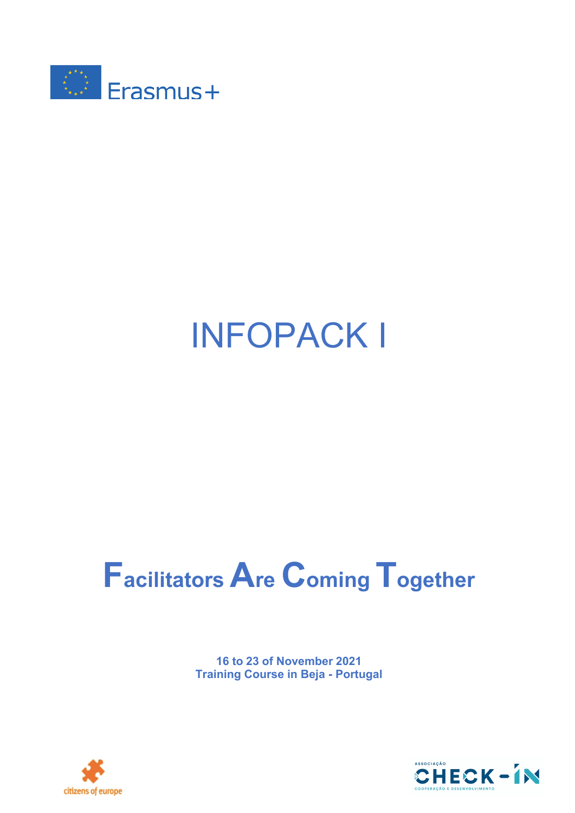

# INFOPACK I

## **Facilitators Are Coming Together**

**16 to 23 of November 2021 Training Course in Beja - Portugal**



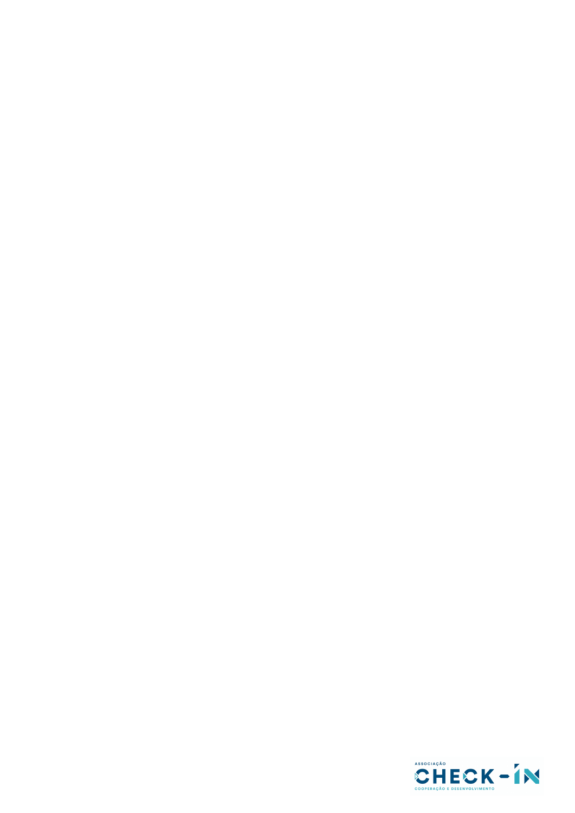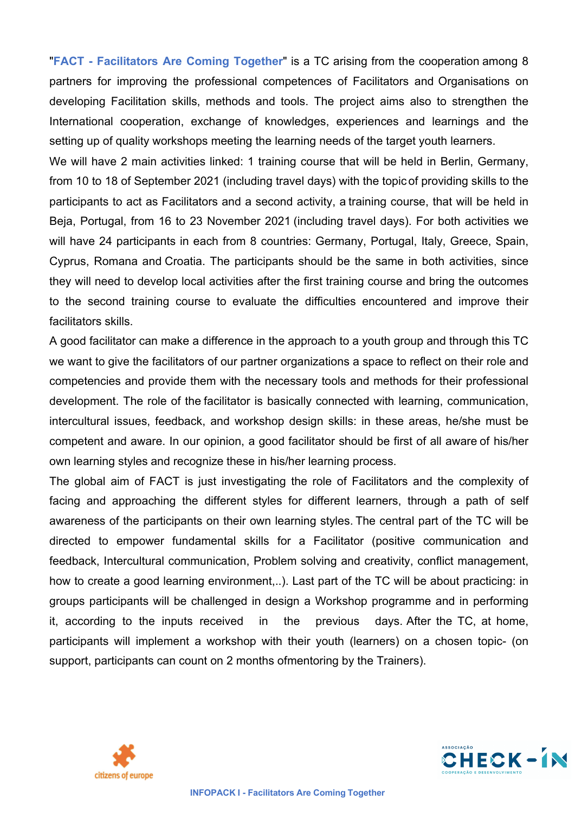"**FACT - Facilitators Are Coming Together**" is a TC arising from the cooperation among 8 partners for improving the professional competences of Facilitators and Organisations on developing Facilitation skills, methods and tools. The project aims also to strengthen the International cooperation, exchange of knowledges, experiences and learnings and the setting up of quality workshops meeting the learning needs of the target youth learners.

We will have 2 main activities linked: 1 training course that will be held in Berlin, Germany, from 10 to 18 of September 2021 (including travel days) with the topic of providing skills to the participants to act as Facilitators and a second activity, a training course, that will be held in Beja, Portugal, from 16 to 23 November 2021 (including travel days). For both activities we will have 24 participants in each from 8 countries: Germany, Portugal, Italy, Greece, Spain, Cyprus, Romana and Croatia. The participants should be the same in both activities, since they will need to develop local activities after the first training course and bring the outcomes to the second training course to evaluate the difficulties encountered and improve their facilitators skills.

A good facilitator can make a difference in the approach to a youth group and through this TC we want to give the facilitators of our partner organizations a space to reflect on their role and competencies and provide them with the necessary tools and methods for their professional development. The role of the facilitator is basically connected with learning, communication, intercultural issues, feedback, and workshop design skills: in these areas, he/she must be competent and aware. In our opinion, a good facilitator should be first of all aware of his/her own learning styles and recognize these in his/her learning process.

The global aim of FACT is just investigating the role of Facilitators and the complexity of facing and approaching the different styles for different learners, through a path of self awareness of the participants on their own learning styles. The central part of the TC will be directed to empower fundamental skills for a Facilitator (positive communication and feedback, Intercultural communication, Problem solving and creativity, conflict management, how to create a good learning environment,..). Last part of the TC will be about practicing: in groups participants will be challenged in design a Workshop programme and in performing it, according to the inputs received in the previous days. After the TC, at home, participants will implement a workshop with their youth (learners) on a chosen topic- (on support, participants can count on 2 months ofmentoring by the Trainers).



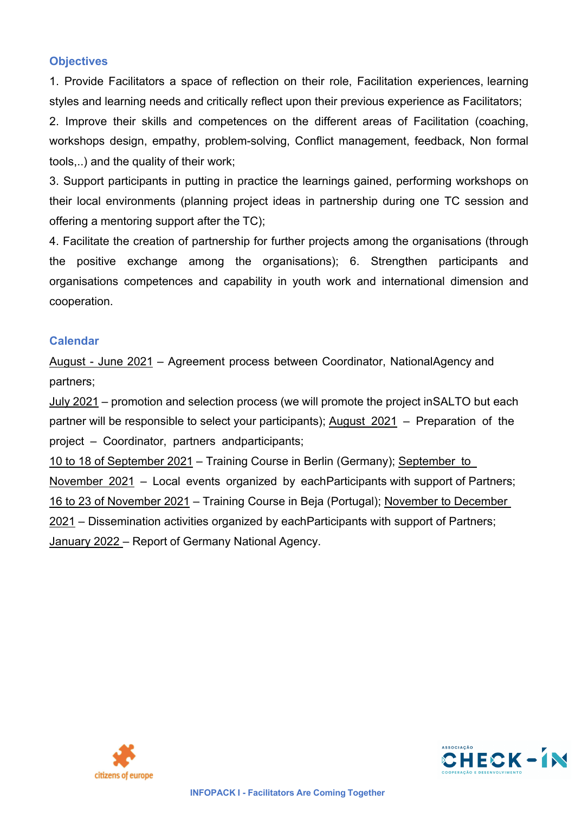#### **Objectives**

1. Provide Facilitators a space of reflection on their role, Facilitation experiences, learning styles and learning needs and critically reflect upon their previous experience as Facilitators;

2. Improve their skills and competences on the different areas of Facilitation (coaching, workshops design, empathy, problem-solving, Conflict management, feedback, Non formal tools,..) and the quality of their work;

3. Support participants in putting in practice the learnings gained, performing workshops on their local environments (planning project ideas in partnership during one TC session and offering a mentoring support after the TC);

4. Facilitate the creation of partnership for further projects among the organisations (through the positive exchange among the organisations); 6. Strengthen participants and organisations competences and capability in youth work and international dimension and cooperation.

#### **Calendar**

August - June 2021 – Agreement process between Coordinator, NationalAgency and partners;

July 2021 – promotion and selection process (we will promote the project inSALTO but each partner will be responsible to select your participants); August 2021 – Preparation of the project – Coordinator, partners andparticipants;

10 to 18 of September 2021 – Training Course in Berlin (Germany); September to November 2021 – Local events organized by eachParticipants with support of Partners; 16 to 23 of November 2021 – Training Course in Beja (Portugal); November to December 2021 – Dissemination activities organized by eachParticipants with support of Partners; January 2022 – Report of Germany National Agency.



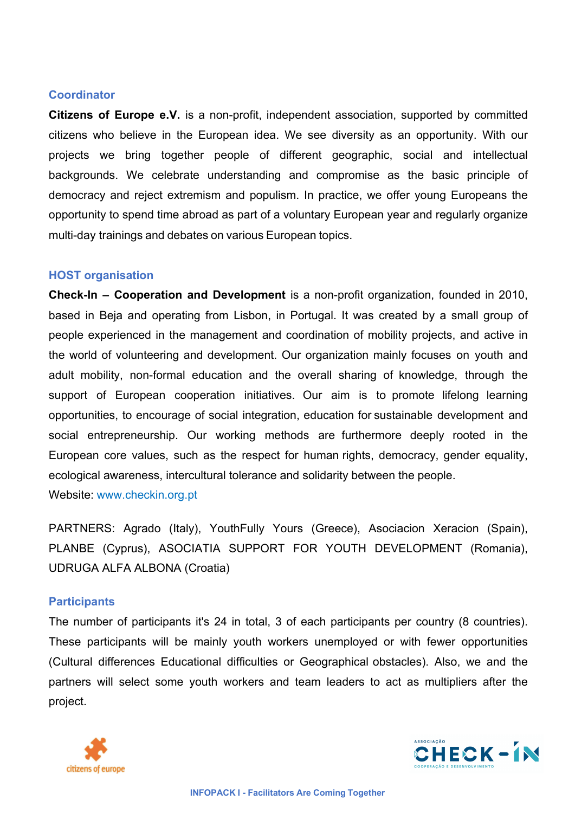#### **Coordinator**

**Citizens of Europe e.V.** is a non-profit, independent association, supported by committed citizens who believe in the European idea. We see diversity as an opportunity. With our projects we bring together people of different geographic, social and intellectual backgrounds. We celebrate understanding and compromise as the basic principle of democracy and reject extremism and populism. In practice, we offer young Europeans the opportunity to spend time abroad as part of a voluntary European year and regularly organize multi-day trainings and debates on various European topics.

#### **HOST organisation**

**Check-In – Cooperation and Development** is a non-profit organization, founded in 2010, based in Beja and operating from Lisbon, in Portugal. It was created by a small group of people experienced in the management and coordination of mobility projects, and active in the world of volunteering and development. Our organization mainly focuses on youth and adult mobility, non-formal education and the overall sharing of knowledge, through the support of European cooperation initiatives. Our aim is to promote lifelong learning opportunities, to encourage of social integration, education for sustainable development and social entrepreneurship. Our working methods are furthermore deeply rooted in the European core values, such as the respect for human rights, democracy, gender equality, ecological awareness, intercultural tolerance and solidarity between the people. Website: www.checkin.org.pt

PARTNERS: Agrado (Italy), YouthFully Yours (Greece), Asociacion Xeracion (Spain), PLANBE (Cyprus), ASOCIATIA SUPPORT FOR YOUTH DEVELOPMENT (Romania), UDRUGA ALFA ALBONA (Croatia)

#### **Participants**

The number of participants it's 24 in total, 3 of each participants per country (8 countries). These participants will be mainly youth workers unemployed or with fewer opportunities (Cultural differences Educational difficulties or Geographical obstacles). Also, we and the partners will select some youth workers and team leaders to act as multipliers after the project.



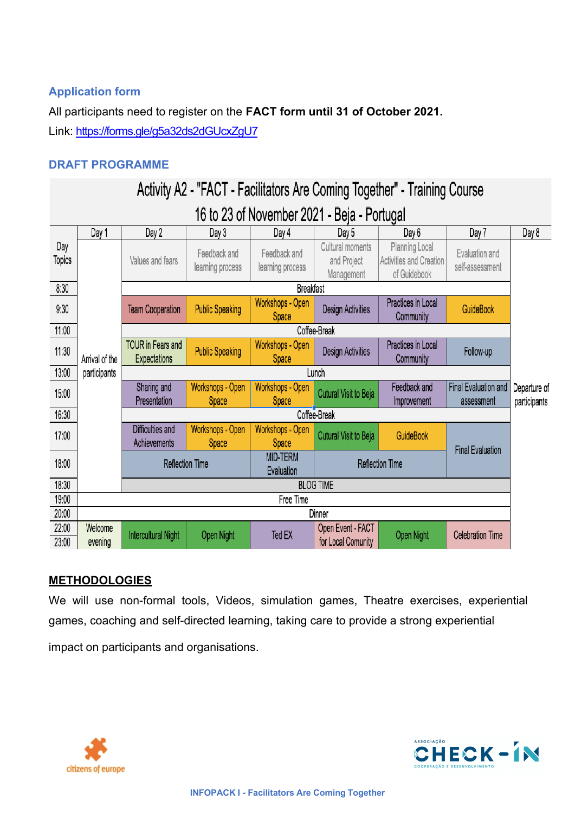## **Application form**

All participants need to register on the **FACT form until 31 of October 2021.** Link: https://forms.gle/g5a32ds2dGUcxZgU7

## **DRAFT PROGRAMME**

 $\mathbf{r}$  and  $\mathbf{r}$ 

|                                             |                    |                                                 |                                  |                                  |                                               | Activity A2 - "FACT - Facilitators Are Coming Together" - Training Course |                                           |                              |  |
|---------------------------------------------|--------------------|-------------------------------------------------|----------------------------------|----------------------------------|-----------------------------------------------|---------------------------------------------------------------------------|-------------------------------------------|------------------------------|--|
| 16 to 23 of November 2021 - Beja - Portugal |                    |                                                 |                                  |                                  |                                               |                                                                           |                                           |                              |  |
|                                             | Day 1              | Day 2                                           | Day 3                            | Day 4                            | Day 5                                         | Day 6                                                                     | Day 7                                     | Day 8                        |  |
| Day<br>Topics                               |                    | Values and fears                                | Feedback and<br>learning process | Feedback and<br>learning process | Cultural moments<br>and Project<br>Management | Planning Local<br><b>Activities and Creation</b><br>of Guidebook          | Evaluation and<br>self-assessment         |                              |  |
| 8:30                                        |                    | <b>Breakfast</b>                                |                                  |                                  |                                               |                                                                           |                                           |                              |  |
| 9:30                                        |                    | <b>Team Cooperation</b>                         | <b>Public Speaking</b>           | Workshops - Open<br><b>Space</b> | <b>Design Activities</b>                      | Practices in Local<br>Community                                           | <b>GuideBook</b>                          |                              |  |
| 11:00                                       |                    | Coffee-Break                                    |                                  |                                  |                                               |                                                                           |                                           |                              |  |
| 11:30                                       | Arrival of the     | <b>TOUR in Fears and</b><br><b>Expectations</b> | <b>Public Speaking</b>           | Workshops - Open<br>Space        | <b>Design Activities</b>                      | Practices in Local<br>Community                                           | Follow-up                                 |                              |  |
| 13:00                                       | participants       | Lunch                                           |                                  |                                  |                                               |                                                                           |                                           |                              |  |
| 15:00                                       |                    | Sharing and<br>Presentation                     | Workshops - Open<br><b>Space</b> | Workshops - Open<br><b>Space</b> | <b>Cutural Visit to Beja</b>                  | Feedback and<br>Improvement                                               | <b>Final Evaluation and</b><br>assessment | Departure of<br>participants |  |
| 16:30                                       | Coffee-Break       |                                                 |                                  |                                  |                                               |                                                                           |                                           |                              |  |
| 17:00                                       |                    | Difficulties and<br>Achievements                | Workshops - Open<br><b>Space</b> | Workshops - Open<br><b>Space</b> | Cutural Visit to Beja                         | <b>GuideBook</b>                                                          | <b>Final Evaluation</b>                   |                              |  |
| 18:00                                       |                    | <b>Reflection Time</b>                          |                                  | <b>MID-TERM</b><br>Evaluation    | <b>Reflection Time</b>                        |                                                                           |                                           |                              |  |
| 18:30                                       |                    | <b>BLOG TIME</b>                                |                                  |                                  |                                               |                                                                           |                                           |                              |  |
| 19:00                                       |                    | Free Time                                       |                                  |                                  |                                               |                                                                           |                                           |                              |  |
| 20:00                                       |                    | Dinner                                          |                                  |                                  |                                               |                                                                           |                                           |                              |  |
| 22:00<br>23:00                              | Welcome<br>evening | <b>Intercultural Night</b>                      | Open Night                       | Ted EX                           | Open Event - FACT<br>for Local Comunity       | Open Night                                                                | <b>Celebration Time</b>                   |                              |  |

## **METHODOLOGIES**

We will use non-formal tools, Videos, simulation games, Theatre exercises, experiential games, coaching and self-directed learning, taking care to provide a strong experiential

impact on participants and organisations.



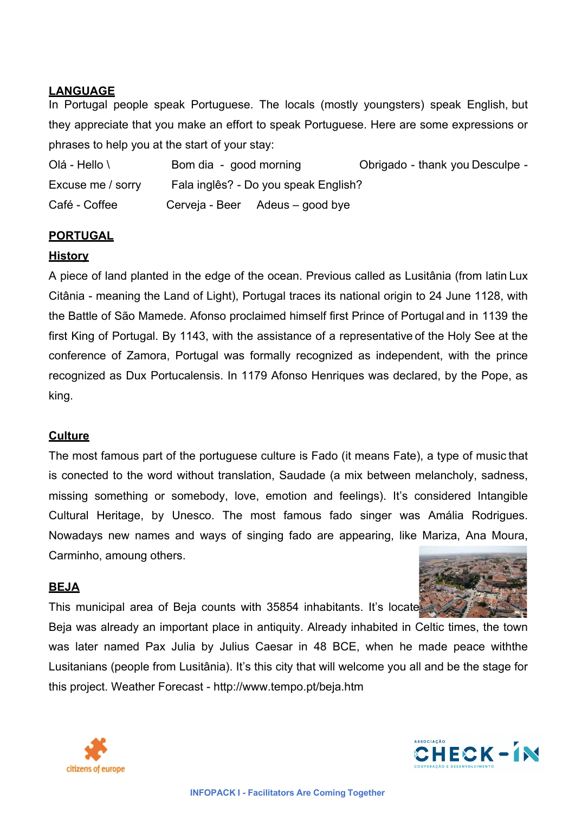#### **LANGUAGE**

In Portugal people speak Portuguese. The locals (mostly youngsters) speak English, but they appreciate that you make an effort to speak Portuguese. Here are some expressions or phrases to help you at the start of your stay:

| Olá - Hello \     | Bom dia - good morning |                                      | Obrigado - thank you Desculpe - |
|-------------------|------------------------|--------------------------------------|---------------------------------|
| Excuse me / sorry |                        | Fala inglês? - Do you speak English? |                                 |
| Café - Coffee     |                        | Cerveja - Beer Adeus $-$ good bye    |                                 |

#### **PORTUGAL**

#### **History**

A piece of land planted in the edge of the ocean. Previous called as Lusitânia (from latin Lux Citânia - meaning the Land of Light), Portugal traces its national origin to 24 June 1128, with the Battle of São Mamede. Afonso proclaimed himself first Prince of Portugal and in 1139 the first King of Portugal. By 1143, with the assistance of a representative of the Holy See at the conference of Zamora, Portugal was formally recognized as independent, with the prince recognized as Dux Portucalensis. In 1179 Afonso Henriques was declared, by the Pope, as king.

#### **Culture**

The most famous part of the portuguese culture is Fado (it means Fate), a type of music that is conected to the word without translation, Saudade (a mix between melancholy, sadness, missing something or somebody, love, emotion and feelings). It's considered Intangible Cultural Heritage, by Unesco. The most famous fado singer was Amália Rodrigues. Nowadays new names and ways of singing fado are appearing, like Mariza, Ana Moura, Carminho, amoung others.

#### **BEJA**

This municipal area of Beja counts with 35854 inhabitants. It's locate



Beja was already an important place in antiquity. Already inhabited in Celtic times, the town was later named Pax Julia by Julius Caesar in 48 BCE, when he made peace withthe Lusitanians (people from Lusitânia). It's this city that will welcome you all and be the stage for this project. Weather Forecast - http://www.tempo.pt/beja.htm



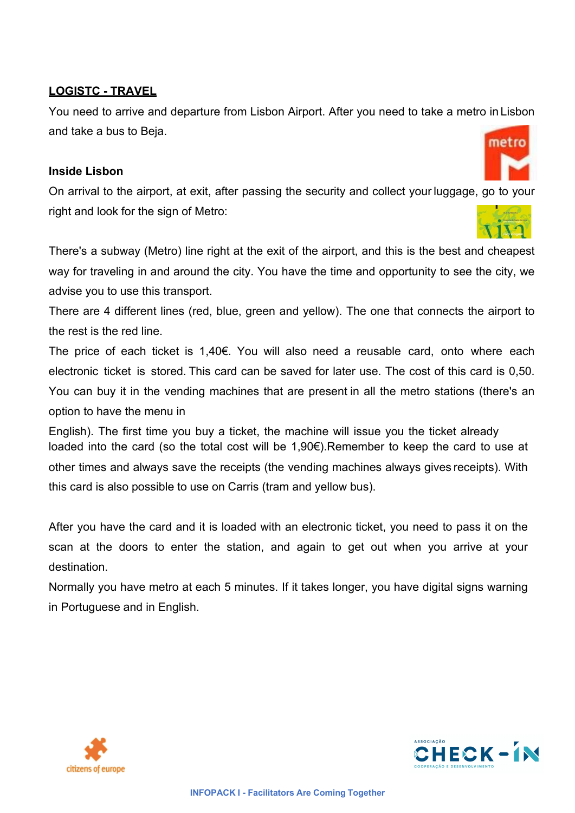## **LOGISTC - TRAVEL**

You need to arrive and departure from Lisbon Airport. After you need to take a metro in Lisbon and take a bus to Beja. metro

#### **Inside Lisbon**

On arrival to the airport, at exit, after passing the security and collect your luggage, go to your right and look for the sign of Metro:

There's a subway (Metro) line right at the exit of the airport, and this is the best and cheapest way for traveling in and around the city. You have the time and opportunity to see the city, we advise you to use this transport.

There are 4 different lines (red, blue, green and yellow). The one that connects the airport to the rest is the red line.

The price of each ticket is 1,40€. You will also need a reusable card, onto where each electronic ticket is stored. This card can be saved for later use. The cost of this card is 0,50. You can buy it in the vending machines that are present in all the metro stations (there's an option to have the menu in

English). The first time you buy a ticket, the machine will issue you the ticket already loaded into the card (so the total cost will be 1,90€).Remember to keep the card to use at other times and always save the receipts (the vending machines always gives receipts). With this card is also possible to use on Carris (tram and yellow bus).

After you have the card and it is loaded with an electronic ticket, you need to pass it on the scan at the doors to enter the station, and again to get out when you arrive at your destination.

Normally you have metro at each 5 minutes. If it takes longer, you have digital signs warning in Portuguese and in English.



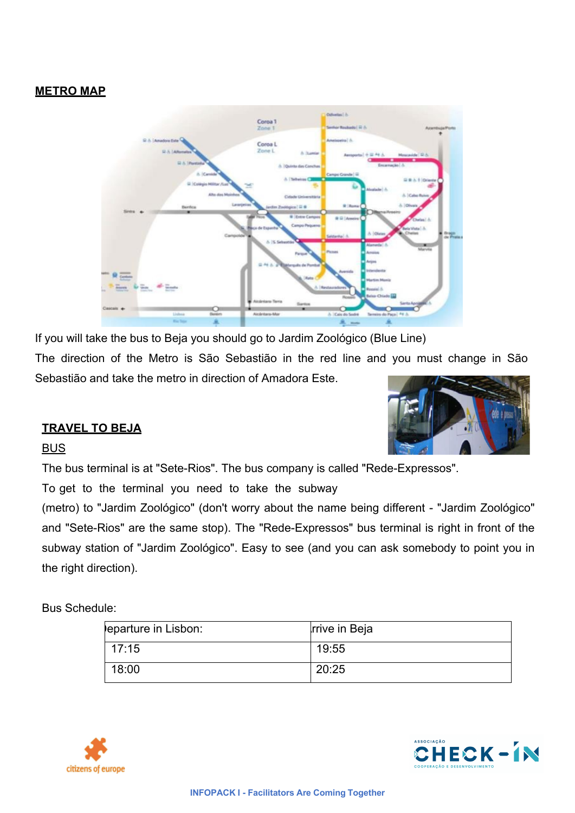## **METRO MAP**



If you will take the bus to Beja you should go to Jardim Zoológico (Blue Line)

The direction of the Metro is São Sebastião in the red line and you must change in São Sebastião and take the metro in direction of Amadora Este.

## **TRAVEL TO BEJA**

## BUS

The bus terminal is at "Sete-Rios". The bus company is called "Rede-Expressos".

To get to the terminal you need to take the subway

(metro) to "Jardim Zoológico" (don't worry about the name being different - "Jardim Zoológico" and "Sete-Rios" are the same stop). The "Rede-Expressos" bus terminal is right in front of the subway station of "Jardim Zoológico". Easy to see (and you can ask somebody to point you in the right direction).

Bus Schedule:

| eparture in Lisbon: | <b>Irrive in Beja</b> |  |  |
|---------------------|-----------------------|--|--|
| 17:15               | 19:55                 |  |  |
| 18:00               | 20:25                 |  |  |



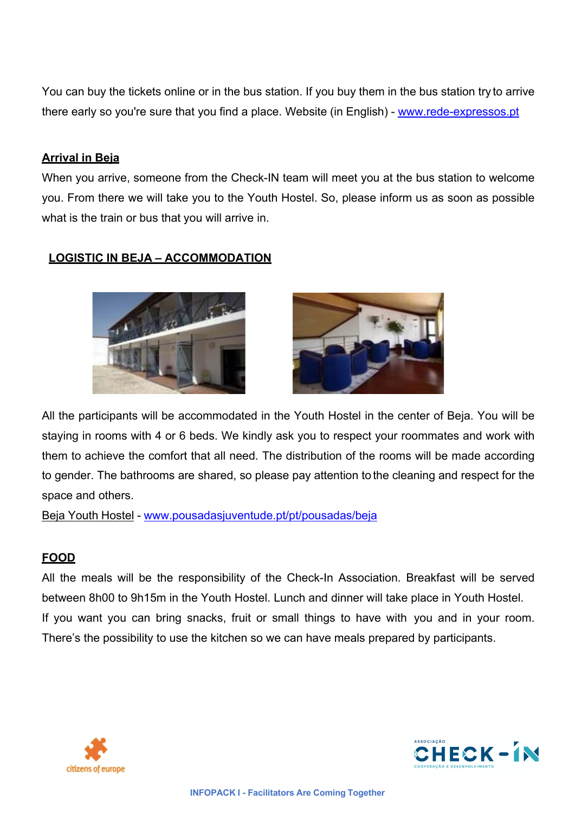You can buy the tickets online or in the bus station. If you buy them in the bus station try to arrive there early so you're sure that you find a place. Website (in English) - www.rede-expressos.pt

#### **Arrival in Beja**

When you arrive, someone from the Check-IN team will meet you at the bus station to welcome you. From there we will take you to the Youth Hostel. So, please inform us as soon as possible what is the train or bus that you will arrive in.

## **LOGISTIC IN BEJA – ACCOMMODATION**





All the participants will be accommodated in the Youth Hostel in the center of Beja. You will be staying in rooms with 4 or 6 beds. We kindly ask you to respect your roommates and work with them to achieve the comfort that all need. The distribution of the rooms will be made according to gender. The bathrooms are shared, so please pay attention to the cleaning and respect for the space and others.

Beja Youth Hostel - www.pousadasjuventude.pt/pt/pousadas/beja

## **FOOD**

All the meals will be the responsibility of the Check-In Association. Breakfast will be served between 8h00 to 9h15m in the Youth Hostel. Lunch and dinner will take place in Youth Hostel. If you want you can bring snacks, fruit or small things to have with you and in your room. There's the possibility to use the kitchen so we can have meals prepared by participants.



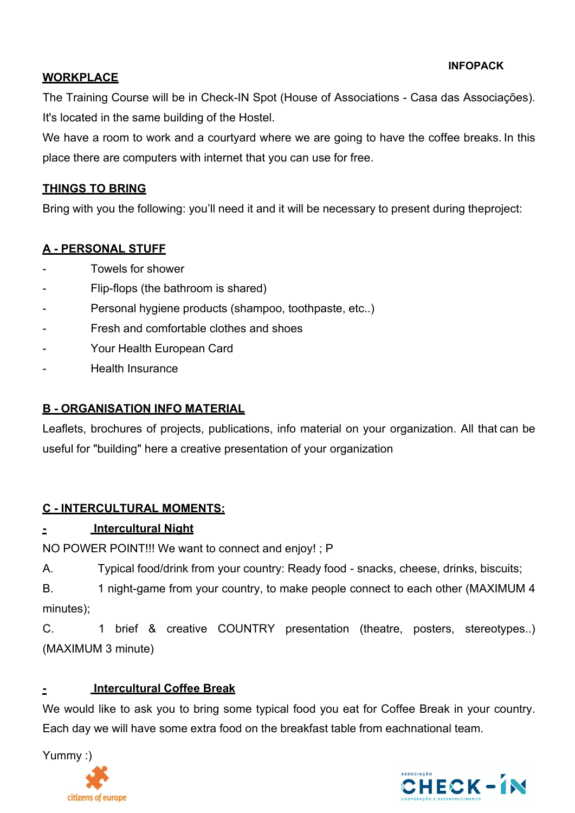#### **INFOPACK**

## **WORKPLACE**

The Training Course will be in Check-IN Spot (House of Associations - Casa das Associações). It's located in the same building of the Hostel.

We have a room to work and a courtyard where we are going to have the coffee breaks. In this place there are computers with internet that you can use for free.

## **THINGS TO BRING**

Bring with you the following: you'll need it and it will be necessary to present during theproject:

## **A - PERSONAL STUFF**

- Towels for shower
- Flip-flops (the bathroom is shared)
- Personal hygiene products (shampoo, toothpaste, etc..)
- Fresh and comfortable clothes and shoes
- Your Health European Card
- Health Insurance

## **B - ORGANISATION INFO MATERIAL**

Leaflets, brochures of projects, publications, info material on your organization. All that can be useful for "building" here a creative presentation of your organization

## **C - INTERCULTURAL MOMENTS:**

## **- Intercultural Night**

NO POWER POINT!!! We want to connect and enjoy! ; P

A. Typical food/drink from your country: Ready food - snacks, cheese, drinks, biscuits;

B. 1 night-game from your country, to make people connect to each other (MAXIMUM 4 minutes);

C. 1 brief & creative COUNTRY presentation (theatre, posters, stereotypes..) (MAXIMUM 3 minute)

## **- Intercultural Coffee Break**

We would like to ask you to bring some typical food you eat for Coffee Break in your country. Each day we will have some extra food on the breakfast table from eachnational team.

Yummy :)



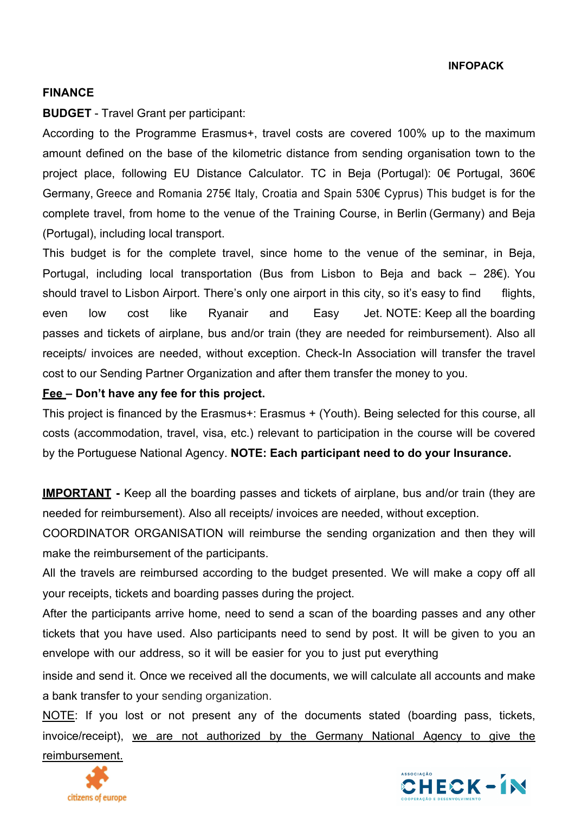**INFOPACK**

#### **FINANCE**

**BUDGET** - Travel Grant per participant:

According to the Programme Erasmus+, travel costs are covered 100% up to the maximum amount defined on the base of the kilometric distance from sending organisation town to the project place, following EU Distance Calculator. TC in Beja (Portugal): 0€ Portugal, 360€ Germany, Greece and Romania 275€ Italy, Croatia and Spain 530€ Cyprus) This budget is for the complete travel, from home to the venue of the Training Course, in Berlin (Germany) and Beja (Portugal), including local transport.

This budget is for the complete travel, since home to the venue of the seminar, in Beja, Portugal, including local transportation (Bus from Lisbon to Beia and back – 28€). You should travel to Lisbon Airport. There's only one airport in this city, so it's easy to find flights, even low cost like Ryanair and Easy Jet. NOTE: Keep all the boarding passes and tickets of airplane, bus and/or train (they are needed for reimbursement). Also all receipts/ invoices are needed, without exception. Check-In Association will transfer the travel cost to our Sending Partner Organization and after them transfer the money to you.

**Fee – Don't have any fee for this project.**

This project is financed by the Erasmus+: Erasmus + (Youth). Being selected for this course, all costs (accommodation, travel, visa, etc.) relevant to participation in the course will be covered by the Portuguese National Agency. **NOTE: Each participant need to do your Insurance.**

**IMPORTANT -** Keep all the boarding passes and tickets of airplane, bus and/or train (they are needed for reimbursement). Also all receipts/ invoices are needed, without exception.

COORDINATOR ORGANISATION will reimburse the sending organization and then they will make the reimbursement of the participants.

All the travels are reimbursed according to the budget presented. We will make a copy off all your receipts, tickets and boarding passes during the project.

After the participants arrive home, need to send a scan of the boarding passes and any other tickets that you have used. Also participants need to send by post. It will be given to you an envelope with our address, so it will be easier for you to just put everything

inside and send it. Once we received all the documents, we will calculate all accounts and make a bank transfer to your sending organization.

NOTE: If you lost or not present any of the documents stated (boarding pass, tickets, invoice/receipt), we are not authorized by the Germany National Agency to give the reimbursement.